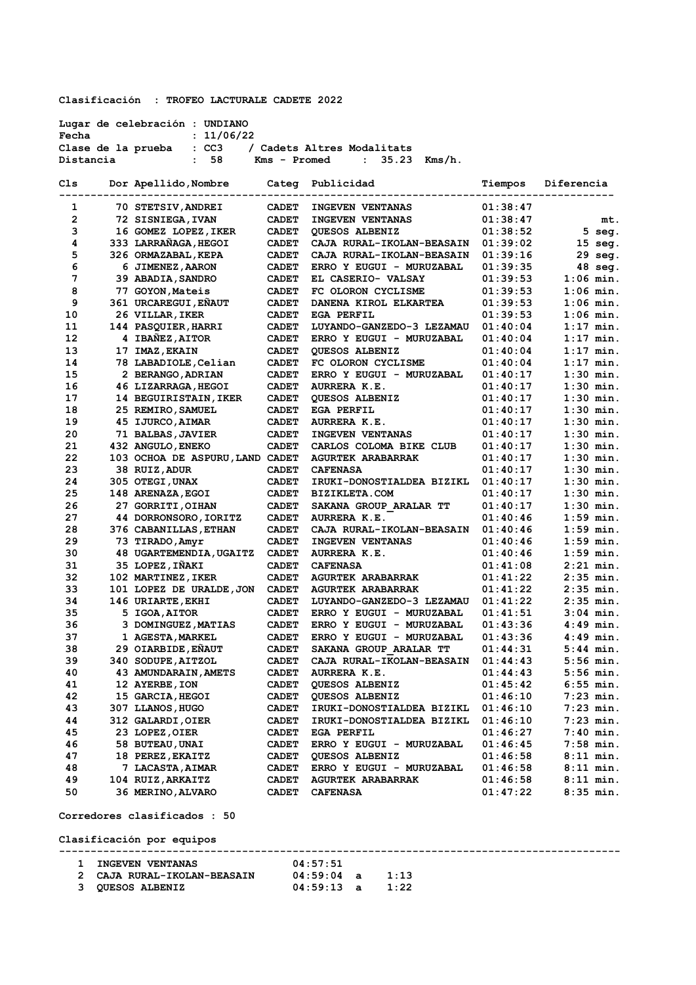**Clasificación : TROFEO LACTURALE CADETE 2022** 

| Fecha          | Lugar de celebración : UNDIANO<br>: 11/06/22 |                              |                                                                |                      |                            |
|----------------|----------------------------------------------|------------------------------|----------------------------------------------------------------|----------------------|----------------------------|
| Distancia      | Clase de la prueba : CC3<br>: 58             |                              | / Cadets Altres Modalitats<br>Kms - Promed<br>: $35.23$ Kms/h. |                      |                            |
| Cls            | Dor Apellido, Nombre Categ Publicidad        |                              |                                                                | Tiempos              | Diferencia                 |
| 1              | 70 STETSIV, ANDREI                           | <b>CADET</b>                 | ----------------------------------<br><b>INGEVEN VENTANAS</b>  | 01:38:47             |                            |
| $\overline{2}$ | 72 SISNIEGA, IVAN                            | <b>CADET</b>                 | <b>INGEVEN VENTANAS</b>                                        | 01:38:47             | mt.                        |
| 3              | 16 GOMEZ LOPEZ, IKER                         | <b>CADET</b>                 | <b>QUESOS ALBENIZ</b>                                          | 01:38:52             | 5 seg.                     |
| 4              | 333 LARRAÑAGA, HEGOI                         | <b>CADET</b>                 | CAJA RURAL-IKOLAN-BEASAIN 01:39:02                             |                      | $15$ seg.                  |
| 5              | 326 ORMAZABAL, KEPA                          | <b>CADET</b>                 | CAJA RURAL-IKOLAN-BEASAIN                                      | 01:39:16             | 29 seg.                    |
| 6              | 6 JIMENEZ, AARON                             | <b>CADET</b>                 | ERRO Y EUGUI - MURUZABAL                                       | 01:39:35             | $48$ seq.                  |
| 7              | 39 ABADIA, SANDRO                            | <b>CADET</b>                 | EL CASERIO- VALSAY                                             | 01:39:53             | $1:06$ min.                |
| 8              | 77 GOYON, Mateis                             | <b>CADET</b>                 | FC OLORON CYCLISME                                             | 01:39:53             | $1:06$ min.                |
| 9              | 361 URCAREGUI, EÑAUT                         | <b>CADET</b>                 | DANENA KIROL ELKARTEA                                          | 01:39:53             | $1:06$ min.                |
| 10             | 26 VILLAR, IKER                              | <b>CADET</b>                 | EGA PERFIL                                                     | 01:39:53             | $1:06$ min.                |
| 11             | 144 PASQUIER, HARRI                          | <b>CADET</b>                 | LUYANDO-GANZEDO-3 LEZAMAU                                      | 01:40:04             | $1:17$ min.                |
| 12             | 4 IBAÑEZ, AITOR                              | <b>CADET</b>                 | ERRO Y EUGUI - MURUZABAL                                       | 01:40:04             | $1:17$ min.                |
| 13             | 17 IMAZ, EKAIN                               | <b>CADET</b>                 | QUESOS ALBENIZ                                                 | 01:40:04             | $1:17$ min.                |
| 14             | 78 LABADIOLE, Celian                         | <b>CADET</b>                 | FC OLORON CYCLISME                                             | 01:40:04             | $1:17$ min.                |
| 15             | 2 BERANGO, ADRIAN                            | <b>CADET</b>                 | ERRO Y EUGUI - MURUZABAL                                       | 01:40:17             | $1:30$ min.                |
| 16             | 46 LIZARRAGA, HEGOI                          | <b>CADET</b>                 | AURRERA K.E.                                                   | 01:40:17             | $1:30$ min.                |
| 17             | 14 BEGUIRISTAIN, IKER                        | <b>CADET</b>                 | QUESOS ALBENIZ                                                 | 01:40:17             | $1:30$ min.                |
| 18             | 25 REMIRO, SAMUEL                            | <b>CADET</b>                 | EGA PERFIL                                                     | 01:40:17             | $1:30$ min.                |
| 19             | 45 IJURCO, AIMAR                             | <b>CADET</b>                 | AURRERA K.E.                                                   | 01:40:17             | $1:30$ min.                |
| 20             | 71 BALBAS, JAVIER                            | <b>CADET</b>                 | <b>INGEVEN VENTANAS</b>                                        | 01:40:17             | $1:30$ min.                |
| 21             | 432 ANGULO, ENEKO                            | <b>CADET</b>                 | CARLOS COLOMA BIKE CLUB                                        | 01:40:17             | $1:30$ min.                |
| 22             | 103 OCHOA DE ASPURU, LAND CADET              |                              | <b>AGURTEK ARABARRAK</b>                                       | 01:40:17             | $1:30$ min.                |
| 23             | 38 RUIZ, ADUR                                | <b>CADET</b>                 | <b>CAFENASA</b>                                                | 01:40:17             | $1:30$ min.                |
| 24             | 305 OTEGI,UNAX                               | <b>CADET</b>                 | IRUKI-DONOSTIALDEA BIZIKL                                      | 01:40:17             | $1:30$ min.                |
| 25             | 148 ARENAZA, EGOI                            | <b>CADET</b>                 | <b>BIZIKLETA.COM</b>                                           | 01:40:17             | $1:30$ min.                |
| 26             | 27 GORRITI, OIHAN                            | <b>CADET</b>                 | SAKANA GROUP ARALAR TT                                         | 01:40:17             | $1:30$ min.                |
| 27             | 44 DORRONSORO, IORITZ                        | <b>CADET</b>                 | AURRERA K.E.                                                   | 01:40:46             | $1:59$ min.                |
| 28<br>29       | 376 CABANILLAS, ETHAN                        | <b>CADET</b>                 | CAJA RURAL-IKOLAN-BEASAIN                                      | 01:40:46             | $1:59$ min.<br>$1:59$ min. |
| 30             | 73 TIRADO, Amyr<br>48 UGARTEMENDIA, UGAITZ   | <b>CADET</b><br><b>CADET</b> | <b>INGEVEN VENTANAS</b><br>AURRERA K.E.                        | 01:40:46<br>01:40:46 | $1:59$ min.                |
| 31             | 35 LOPEZ, IÑAKI                              | <b>CADET</b>                 | <b>CAFENASA</b>                                                | 01:41:08             | $2:21$ min.                |
| 32             | 102 MARTINEZ, IKER                           | <b>CADET</b>                 | <b>AGURTEK ARABARRAK</b>                                       | 01:41:22             | $2:35$ min.                |
| 33             | 101 LOPEZ DE URALDE, JON CADET               |                              | <b>AGURTEK ARABARRAK</b>                                       | 01:41:22             | $2:35$ min.                |
| 34             | 146 URIARTE, EKHI                            | <b>CADET</b>                 | LUYANDO-GANZEDO-3 LEZAMAU                                      | 01:41:22             | $2:35$ min.                |
| 35             | 5 IGOA, AITOR                                | <b>CADET</b>                 | ERRO Y EUGUI - MURUZABAL                                       | 01:41:51             | $3:04$ min.                |
| 36             | 3 DOMINGUEZ, MATIAS                          | <b>CADET</b>                 | ERRO Y EUGUI - MURUZABAL                                       | 01:43:36             | $4:49$ min.                |
| 37             | <b>1 AGESTA, MARKEL</b>                      | <b>CADET</b>                 | ERRO Y EUGUI - MURUZABAL                                       | 01:43:36             | $4:49$ min.                |
| 38             | 29 OIARBIDE, EÑAUT                           | <b>CADET</b>                 | SAKANA GROUP ARALAR TT                                         | 01:44:31             | $5:44$ min.                |
| 39             | 340 SODUPE, AITZOL                           | <b>CADET</b>                 | CAJA RURAL-IKOLAN-BEASAIN                                      | 01:44:43             | $5:56$ min.                |
| 40             | 43 AMUNDARAIN, AMETS                         | <b>CADET</b>                 | AURRERA K.E.                                                   | 01:44:43             | $5:56$ min.                |
| 41             | 12 AYERBE, ION                               | <b>CADET</b>                 | QUESOS ALBENIZ                                                 | 01:45:42             | $6:55$ min.                |
| 42             | 15 GARCIA, HEGOI                             | <b>CADET</b>                 | QUESOS ALBENIZ                                                 | 01:46:10             | $7:23$ min.                |
| 43             | 307 LLANOS, HUGO                             | <b>CADET</b>                 | IRUKI-DONOSTIALDEA BIZIKL                                      | 01:46:10             | $7:23$ min.                |
| 44             | 312 GALARDI, OIER                            | <b>CADET</b>                 | IRUKI-DONOSTIALDEA BIZIKL                                      | 01:46:10             | $7:23$ min.                |
| 45             | 23 LOPEZ, OIER                               | <b>CADET</b>                 | EGA PERFIL                                                     | 01:46:27             | $7:40$ min.                |
| 46             | 58 BUTEAU, UNAI                              | <b>CADET</b>                 | ERRO Y EUGUI - MURUZABAL                                       | 01:46:45             | 7:58 min.                  |
| 47             | 18 PEREZ, EKAITZ                             | <b>CADET</b>                 | <b>QUESOS ALBENIZ</b>                                          | 01:46:58             | $8:11$ min.                |
| 48             | 7 LACASTA, AIMAR                             | <b>CADET</b>                 | ERRO Y EUGUI - MURUZABAL                                       | 01:46:58             | $8:11$ min.                |
| 49             | 104 RUIZ, ARKAITZ                            | <b>CADET</b>                 | <b>AGURTEK ARABARRAK</b>                                       | 01:46:58             | $8:11$ min.                |
| 50             | 36 MERINO, ALVARO                            | <b>CADET</b>                 | <b>CAFENASA</b>                                                | 01:47:22             | $8:35$ min.                |

**Corredores clasificados : 50**

**Clasificación por equipos**

**----------------------------------------------------------------------------------------- 1 INGEVEN VENTANAS 04:57:51 2 CAJA RURAL-IKOLAN-BEASAIN 04:59:04 a 1:13 3 QUESOS ALBENIZ 04:59:13 a 1:22**